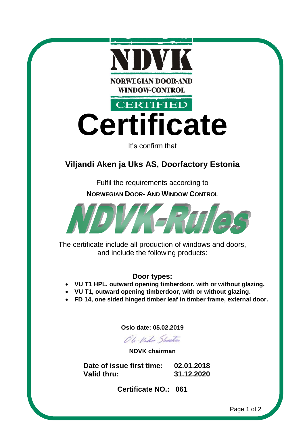

## **Door types:**

- **VU T1 HPL, outward opening timberdoor, with or without glazing.**
- **VU T1, outward opening timberdoor, with or without glazing.**
- **FD 14, one sided hinged timber leaf in timber frame, external door.**

**Oslo date: 05.02.2019**

Oli-Video Shunts

**NDVK chairman**

**Date of issue first time: 02.01.2018 Valid thru: 31.12.2020**

**Certificate NO.: 061**